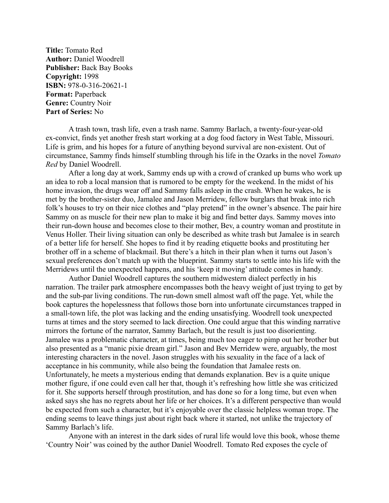**Title:** Tomato Red **Author:** Daniel Woodrell **Publisher:** Back Bay Books **Copyright:** 1998 **ISBN:** 978-0-316-20621-1 **Format:** Paperback **Genre:** Country Noir **Part of Series:** No

A trash town, trash life, even a trash name. Sammy Barlach, a twenty-four-year-old ex-convict, finds yet another fresh start working at a dog food factory in West Table, Missouri. Life is grim, and his hopes for a future of anything beyond survival are non-existent. Out of circumstance, Sammy finds himself stumbling through his life in the Ozarks in the novel *Tomato Red* by Daniel Woodrell.

After a long day at work, Sammy ends up with a crowd of cranked up bums who work up an idea to rob a local mansion that is rumored to be empty for the weekend. In the midst of his home invasion, the drugs wear off and Sammy falls asleep in the crash. When he wakes, he is met by the brother-sister duo, Jamalee and Jason Merridew, fellow burglars that break into rich folk's houses to try on their nice clothes and "play pretend" in the owner's absence. The pair hire Sammy on as muscle for their new plan to make it big and find better days. Sammy moves into their run-down house and becomes close to their mother, Bev, a country woman and prostitute in Venus Holler. Their living situation can only be described as white trash but Jamalee is in search of a better life for herself. She hopes to find it by reading etiquette books and prostituting her brother off in a scheme of blackmail. But there's a hitch in their plan when it turns out Jason's sexual preferences don't match up with the blueprint. Sammy starts to settle into his life with the Merridews until the unexpected happens, and his 'keep it moving' attitude comes in handy.

Author Daniel Woodrell captures the southern midwestern dialect perfectly in his narration. The trailer park atmosphere encompasses both the heavy weight of just trying to get by and the sub-par living conditions. The run-down smell almost waft off the page. Yet, while the book captures the hopelessness that follows those born into unfortunate circumstances trapped in a small-town life, the plot was lacking and the ending unsatisfying. Woodrell took unexpected turns at times and the story seemed to lack direction. One could argue that this winding narrative mirrors the fortune of the narrator, Sammy Barlach, but the result is just too disorienting. Jamalee was a problematic character, at times, being much too eager to pimp out her brother but also presented as a "manic pixie dream girl." Jason and Bev Merridew were, arguably, the most interesting characters in the novel. Jason struggles with his sexuality in the face of a lack of acceptance in his community, while also being the foundation that Jamalee rests on. Unfortunately, he meets a mysterious ending that demands explanation. Bev is a quite unique mother figure, if one could even call her that, though it's refreshing how little she was criticized for it. She supports herself through prostitution, and has done so for a long time, but even when asked says she has no regrets about her life or her choices. It's a different perspective than would be expected from such a character, but it's enjoyable over the classic helpless woman trope. The ending seems to leave things just about right back where it started, not unlike the trajectory of Sammy Barlach's life.

Anyone with an interest in the dark sides of rural life would love this book, whose theme 'Country Noir' was coined by the author Daniel Woodrell. Tomato Red exposes the cycle of